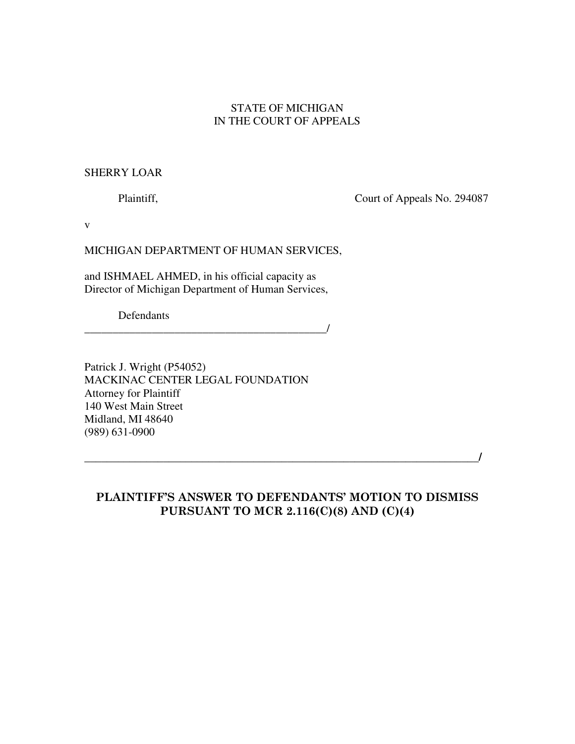## STATE OF MICHIGAN IN THE COURT OF APPEALS

## SHERRY LOAR

Plaintiff, Court of Appeals No. 294087

v

MICHIGAN DEPARTMENT OF HUMAN SERVICES,

and ISHMAEL AHMED, in his official capacity as Director of Michigan Department of Human Services,

\_\_\_\_\_\_\_\_\_\_\_\_\_\_\_\_\_\_\_\_\_\_\_\_\_\_\_\_\_\_\_\_\_\_\_\_\_\_\_\_\_\_\_/

Defendants

Patrick J. Wright (P54052) MACKINAC CENTER LEGAL FOUNDATION Attorney for Plaintiff 140 West Main Street Midland, MI 48640 (989) 631-0900

\_\_\_\_\_\_\_\_\_\_\_\_\_\_\_\_\_\_\_\_\_\_\_\_\_\_\_\_\_\_\_\_\_\_\_\_\_\_\_\_\_\_\_\_\_\_\_\_\_\_\_\_\_\_\_\_\_\_\_\_\_\_\_\_\_\_\_\_\_\_/

## PLAINTIFF'S ANSWER TO DEFENDANTS' MOTION TO DISMISS PURSUANT TO MCR 2.116(C)(8) AND (C)(4)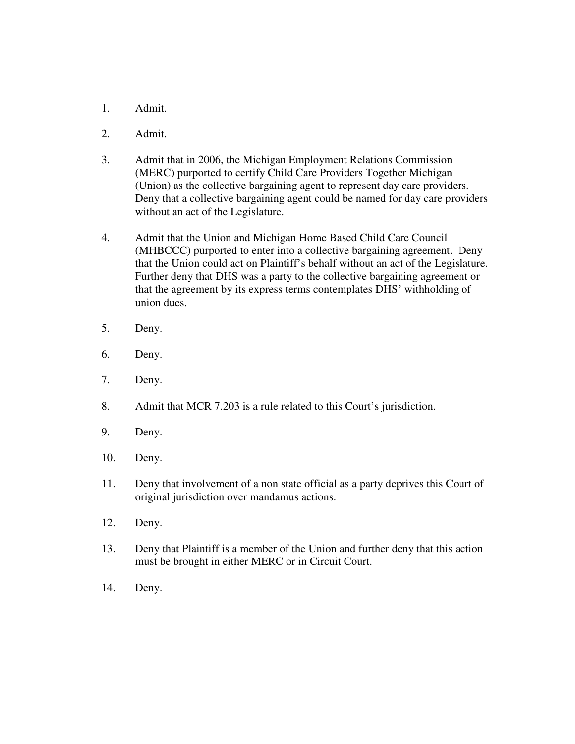- 1. Admit.
- 2. Admit.
- 3. Admit that in 2006, the Michigan Employment Relations Commission (MERC) purported to certify Child Care Providers Together Michigan (Union) as the collective bargaining agent to represent day care providers. Deny that a collective bargaining agent could be named for day care providers without an act of the Legislature.
- 4. Admit that the Union and Michigan Home Based Child Care Council (MHBCCC) purported to enter into a collective bargaining agreement. Deny that the Union could act on Plaintiff's behalf without an act of the Legislature. Further deny that DHS was a party to the collective bargaining agreement or that the agreement by its express terms contemplates DHS' withholding of union dues.
- 5. Deny.
- 6. Deny.
- 7. Deny.
- 8. Admit that MCR 7.203 is a rule related to this Court's jurisdiction.
- 9. Deny.
- 10. Deny.
- 11. Deny that involvement of a non state official as a party deprives this Court of original jurisdiction over mandamus actions.
- 12. Deny.
- 13. Deny that Plaintiff is a member of the Union and further deny that this action must be brought in either MERC or in Circuit Court.
- 14. Deny.